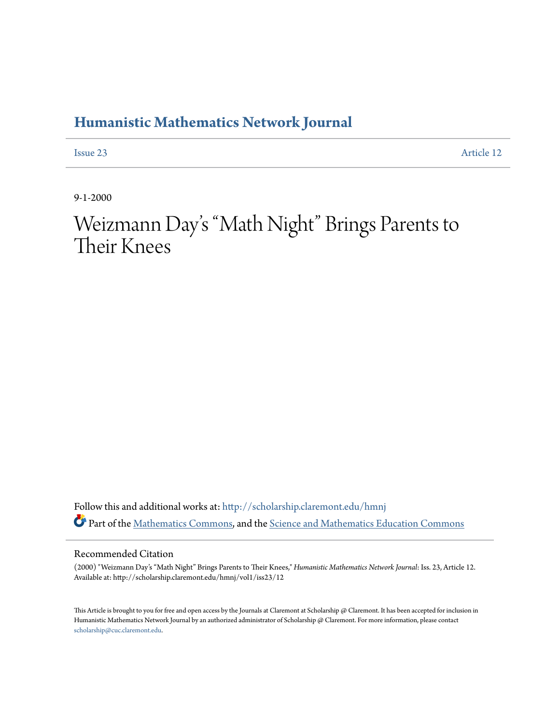## **[Humanistic Mathematics Network Journal](http://scholarship.claremont.edu/hmnj?utm_source=scholarship.claremont.edu%2Fhmnj%2Fvol1%2Fiss23%2F12&utm_medium=PDF&utm_campaign=PDFCoverPages)**

[Issue 23](http://scholarship.claremont.edu/hmnj/vol1/iss23?utm_source=scholarship.claremont.edu%2Fhmnj%2Fvol1%2Fiss23%2F12&utm_medium=PDF&utm_campaign=PDFCoverPages) [Article 12](http://scholarship.claremont.edu/hmnj/vol1/iss23/12?utm_source=scholarship.claremont.edu%2Fhmnj%2Fvol1%2Fiss23%2F12&utm_medium=PDF&utm_campaign=PDFCoverPages)

9-1-2000

Weizmann Day 's "Math Night" Brings Parents to Their Knees

Follow this and additional works at: [http://scholarship.claremont.edu/hmnj](http://scholarship.claremont.edu/hmnj?utm_source=scholarship.claremont.edu%2Fhmnj%2Fvol1%2Fiss23%2F12&utm_medium=PDF&utm_campaign=PDFCoverPages) Part of the [Mathematics Commons](http://network.bepress.com/hgg/discipline/174?utm_source=scholarship.claremont.edu%2Fhmnj%2Fvol1%2Fiss23%2F12&utm_medium=PDF&utm_campaign=PDFCoverPages), and the [Science and Mathematics Education Commons](http://network.bepress.com/hgg/discipline/800?utm_source=scholarship.claremont.edu%2Fhmnj%2Fvol1%2Fiss23%2F12&utm_medium=PDF&utm_campaign=PDFCoverPages)

## Recommended Citation

(2000) "Weizmann Day's "Math Night" Brings Parents to Their Knees," *Humanistic Mathematics Network Journal*: Iss. 23, Article 12. Available at: http://scholarship.claremont.edu/hmnj/vol1/iss23/12

This Article is brought to you for free and open access by the Journals at Claremont at Scholarship  $@$  Claremont. It has been accepted for inclusion in Humanistic Mathematics Network Journal by an authorized administrator of Scholarship @ Claremont. For more information, please contact [scholarship@cuc.claremont.edu.](mailto:scholarship@cuc.claremont.edu)